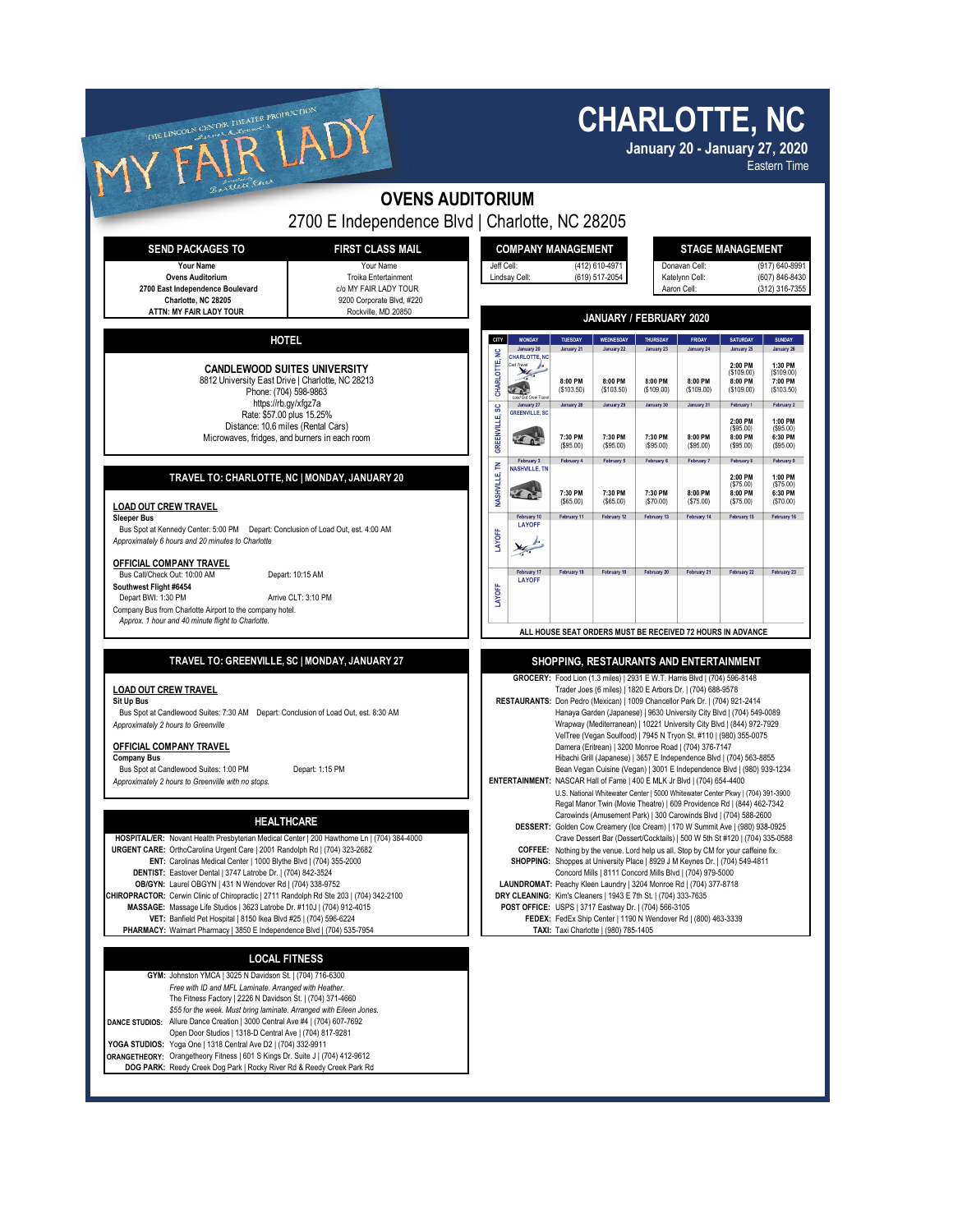| THE LINCOLN CENTER THEATER PRODUCTION<br>A                                                                                                                                                                                                                                                                                                                                                                                                                                                                                                                                                                                                                                                                                                                                                                                                                                                                                                                                                                                            |                                                                           |                                                                                                                                                                                                                                                                                                                                                                                                                                                                                                                                                                                                                                                                                                                                                                                                                                                                                                                                                                                                                                                                                                                                                                                                                                                                                                                                                                                                                                                                             |                                                                                                                                                                                                                                 | <b>CHARLOTTE, NC</b><br><b>January 20 - January 27, 2020</b><br><b>Eastern Time</b>                                                                                                                                                                                                                      |                                                                                      |                                                                                       |                                                                                           |                                                                                                                                              |                                                                                                                                               |  |
|---------------------------------------------------------------------------------------------------------------------------------------------------------------------------------------------------------------------------------------------------------------------------------------------------------------------------------------------------------------------------------------------------------------------------------------------------------------------------------------------------------------------------------------------------------------------------------------------------------------------------------------------------------------------------------------------------------------------------------------------------------------------------------------------------------------------------------------------------------------------------------------------------------------------------------------------------------------------------------------------------------------------------------------|---------------------------------------------------------------------------|-----------------------------------------------------------------------------------------------------------------------------------------------------------------------------------------------------------------------------------------------------------------------------------------------------------------------------------------------------------------------------------------------------------------------------------------------------------------------------------------------------------------------------------------------------------------------------------------------------------------------------------------------------------------------------------------------------------------------------------------------------------------------------------------------------------------------------------------------------------------------------------------------------------------------------------------------------------------------------------------------------------------------------------------------------------------------------------------------------------------------------------------------------------------------------------------------------------------------------------------------------------------------------------------------------------------------------------------------------------------------------------------------------------------------------------------------------------------------------|---------------------------------------------------------------------------------------------------------------------------------------------------------------------------------------------------------------------------------|----------------------------------------------------------------------------------------------------------------------------------------------------------------------------------------------------------------------------------------------------------------------------------------------------------|--------------------------------------------------------------------------------------|---------------------------------------------------------------------------------------|-------------------------------------------------------------------------------------------|----------------------------------------------------------------------------------------------------------------------------------------------|-----------------------------------------------------------------------------------------------------------------------------------------------|--|
| . steett                                                                                                                                                                                                                                                                                                                                                                                                                                                                                                                                                                                                                                                                                                                                                                                                                                                                                                                                                                                                                              | <b>OVENS AUDITORIUM</b><br>2700 E Independence Blvd   Charlotte, NC 28205 |                                                                                                                                                                                                                                                                                                                                                                                                                                                                                                                                                                                                                                                                                                                                                                                                                                                                                                                                                                                                                                                                                                                                                                                                                                                                                                                                                                                                                                                                             |                                                                                                                                                                                                                                 |                                                                                                                                                                                                                                                                                                          |                                                                                      |                                                                                       |                                                                                           |                                                                                                                                              |                                                                                                                                               |  |
| <b>FIRST CLASS MAIL</b><br><b>SEND PACKAGES TO</b><br>Your Name<br>Your Name<br><b>Ovens Auditorium</b><br>Troika Entertainment<br>c/o MY FAIR LADY TOUR<br>2700 East Independence Boulevard<br>Charlotte, NC 28205<br>9200 Corporate Blvd, #220                                                                                                                                                                                                                                                                                                                                                                                                                                                                                                                                                                                                                                                                                                                                                                                      |                                                                           |                                                                                                                                                                                                                                                                                                                                                                                                                                                                                                                                                                                                                                                                                                                                                                                                                                                                                                                                                                                                                                                                                                                                                                                                                                                                                                                                                                                                                                                                             | <b>COMPANY MANAGEMENT</b><br><b>STAGE MANAGEMENT</b><br>Donavan Cell:<br>(917) 640-8991<br>Jeff Cell:<br>(412) 610-4971<br>(619) 517-2054<br>(607) 846-8430<br>Lindsay Cell:<br>Katelynn Cell:<br>Aaron Cell:<br>(312) 316-7355 |                                                                                                                                                                                                                                                                                                          |                                                                                      |                                                                                       |                                                                                           |                                                                                                                                              |                                                                                                                                               |  |
| ATTN: MY FAIR LADY TOUR                                                                                                                                                                                                                                                                                                                                                                                                                                                                                                                                                                                                                                                                                                                                                                                                                                                                                                                                                                                                               | Rockville, MD 20850                                                       |                                                                                                                                                                                                                                                                                                                                                                                                                                                                                                                                                                                                                                                                                                                                                                                                                                                                                                                                                                                                                                                                                                                                                                                                                                                                                                                                                                                                                                                                             | JANUARY / FEBRUARY 2020                                                                                                                                                                                                         |                                                                                                                                                                                                                                                                                                          |                                                                                      |                                                                                       |                                                                                           |                                                                                                                                              |                                                                                                                                               |  |
| <b>HOTEL</b><br><b>CANDLEWOOD SUITES UNIVERSITY</b><br>8812 University East Drive   Charlotte, NC 28213<br>Phone: (704) 598-9863<br>https://rb.gy/xfgz7a<br>Rate: \$57.00 plus 15.25%<br>Distance: 10.6 miles (Rental Cars)<br>Microwaves, fridges, and burners in each room                                                                                                                                                                                                                                                                                                                                                                                                                                                                                                                                                                                                                                                                                                                                                          |                                                                           | CITY<br>$\tilde{z}$<br>CHARLOTTE,<br>SC<br>GREENVILLE,                                                                                                                                                                                                                                                                                                                                                                                                                                                                                                                                                                                                                                                                                                                                                                                                                                                                                                                                                                                                                                                                                                                                                                                                                                                                                                                                                                                                                      | <b>MONDAY</b><br>January 20<br><b>CHARLOTTE, NC</b><br>40 <sup>2</sup><br>January 27<br>GREENVILLE, SC<br>$\mathcal{F}$                                                                                                         | TUESDAY<br>January 21<br>8:00 PM<br>(\$103.50)<br>January 28<br>7:30 PM<br>(S95.00)                                                                                                                                                                                                                      | WEDNESDAY<br>January 22<br>8:00 PM<br>(S103.50)<br>January 29<br>7:30 PM<br>(S95.00) | THURSDAY<br>January 23<br>8:00 PM<br>(\$109.00)<br>January 30<br>7:30 PM<br>(\$95.00) | <b>FRIDAY</b><br>January 24<br>8:00 PM<br>(S109.00)<br>January 31<br>8:00 PM<br>(\$95.00) | SATURDAY<br>January 25<br>2:00 PM<br>(\$109.00)<br>8:00 PM<br>(\$109.00)<br>February 1<br>2:00 PM<br>$($ \$95.00)<br>8:00 PM<br>$($ \$95.00) | <b>SUNDAY</b><br>January 26<br>1:30 PM<br>( \$109.00)<br>7:00 PM<br>( \$103.50)<br>February 2<br>1:00 PM<br>(\$95.00)<br>6:30 PM<br>(\$95.00) |  |
| TRAVEL TO: CHARLOTTE, NC   MONDAY, JANUARY 20<br><b>LOAD OUT CREW TRAVEL</b><br><b>Sleeper Bus</b><br>Bus Spot at Kennedy Center: 5:00 PM  Depart: Conclusion of Load Out, est. 4:00 AM<br>Approximately 6 hours and 20 minutes to Charlotte<br>OFFICIAL COMPANY TRAVEL<br>Bus Call/Check Out: 10:00 AM<br>Depart: 10:15 AM<br>Southwest Flight #6454<br>Depart BWI: 1:30 PM<br>Arrive CLT: 3:10 PM<br>Company Bus from Charlotte Airport to the company hotel.                                                                                                                                                                                                                                                                                                                                                                                                                                                                                                                                                                       |                                                                           | P<br>NASHVILLE,<br>LAYOFF<br>LAYOFF                                                                                                                                                                                                                                                                                                                                                                                                                                                                                                                                                                                                                                                                                                                                                                                                                                                                                                                                                                                                                                                                                                                                                                                                                                                                                                                                                                                                                                         | February 3<br><b>VASHVILLE, TN</b><br><b>KON</b><br>February 10<br>LAYOFF<br>February 17<br><b>LAYOFF</b>                                                                                                                       | February 4<br>7:30 PM<br>(S65.00)<br>February 11<br>February 18                                                                                                                                                                                                                                          | February 5<br>7:30 PM<br>( \$65.00)<br>February 12<br>February 19                    | February 6<br>7:30 PM<br>(\$70.00)<br>February 13<br>February 20                      | February 7<br>8:00 PM<br>(\$75.00)<br>February 14<br>February 21                          | February 8<br>2:00 PM<br>( \$75.00)<br>8:00 PM<br>(\$75.00)<br>February 15<br>February 22                                                    | February 9<br>1:00 PM<br>(\$75.00)<br>6:30 PM<br>(\$70.00)<br>February 16<br>February 23                                                      |  |
| Approx. 1 hour and 40 minute flight to Charlotte.<br>TRAVEL TO: GREENVILLE, SC   MONDAY, JANUARY 27<br><b>LOAD OUT CREW TRAVEL</b><br>Sit Up Bus<br>Bus Spot at Candlewood Suites: 7:30 AM  Depart: Conclusion of Load Out, est. 8:30 AM<br>Approximately 2 hours to Greenville<br>OFFICIAL COMPANY TRAVEL<br><b>Company Bus</b><br>Bus Spot at Candlewood Suites: 1:00 PM<br>Depart: 1:15 PM<br>Approximately 2 hours to Greenville with no stops.<br><b>HEALTHCARE</b><br>HOSPITAL/ER: Novant Health Presbyterian Medical Center   200 Hawthorne Ln   (704) 384-4000<br>URGENT CARE: OrthoCarolina Urgent Care   2001 Randolph Rd   (704) 323-2682<br>ENT: Carolinas Medical Center   1000 Blythe Blvd   (704) 355-2000<br>DENTIST: Eastover Dental   3747 Latrobe Dr.   (704) 842-3524                                                                                                                                                                                                                                             |                                                                           | ALL HOUSE SEAT ORDERS MUST BE RECEIVED 72 HOURS IN ADVANCE<br>SHOPPING, RESTAURANTS AND ENTERTAINMENT<br>GROCERY: Food Lion (1.3 miles)   2931 E W.T. Harris Blvd   (704) 596-8148<br>Trader Joes (6 miles)   1820 E Arbors Dr.   (704) 688-9578<br>RESTAURANTS: Don Pedro (Mexican)   1009 Chancellor Park Dr.   (704) 921-2414<br>Hanaya Garden (Japanese)   9630 University City Blvd   (704) 549-0089<br>Wrapway (Mediterranean)   10221 University City Blvd   (844) 972-7929<br>VelTree (Vegan Soulfood)   7945 N Tryon St. #110   (980) 355-0075<br>Damera (Eritrean)   3200 Monroe Road   (704) 376-7147<br>Hibachi Grill (Japanese)   3657 E Independence Blvd   (704) 563-8855<br>Bean Vegan Cuisine (Vegan)   3001 E Independence Blvd   (980) 939-1234<br>ENTERTAINMENT: NASCAR Hall of Fame   400 E MLK Jr Blvd   (704) 654-4400<br>U.S. National Whitewater Center   5000 Whitewater Center Pkwy   (704) 391-3900<br>Regal Manor Twin (Movie Theatre)   609 Providence Rd   (844) 462-7342<br>Carowinds (Amusement Park)   300 Carowinds Blvd   (704) 588-2600<br>DESSERT: Golden Cow Creamery (Ice Cream)   170 W Summit Ave   (980) 938-0925<br>Crave Dessert Bar (Dessert/Cocktails)   500 W 5th St #120   (704) 335-0588<br>COFFEE: Nothing by the venue. Lord help us all. Stop by CM for your caffeine fix.<br>SHOPPING: Shoppes at University Place   8929 J M Keynes Dr.   (704) 549-4811<br>Concord Mills   8111 Concord Mills Blvd   (704) 979-5000 |                                                                                                                                                                                                                                 |                                                                                                                                                                                                                                                                                                          |                                                                                      |                                                                                       |                                                                                           |                                                                                                                                              |                                                                                                                                               |  |
| OB/GYN: Laurel OBGYN   431 N Wendover Rd   (704) 338-9752<br>CHIROPRACTOR: Cerwin Clinic of Chiropractic   2711 Randolph Rd Ste 203   (704) 342-2100<br>MASSAGE: Massage Life Studios   3623 Latrobe Dr. #110J   (704) 912-4015<br>VET: Banfield Pet Hospital   8150 Ikea Blvd #25   (704) 596-6224<br>PHARMACY: Walmart Pharmacy   3850 E Independence Blvd   (704) 535-7954<br><b>LOCAL FITNESS</b><br>GYM: Johnston YMCA   3025 N Davidson St.   (704) 716-6300<br>Free with ID and MFL Laminate. Arranged with Heather.<br>The Fitness Factory   2226 N Davidson St.   (704) 371-4660<br>\$55 for the week. Must bring laminate. Arranged with Eileen Jones.<br>DANCE STUDIOS: Allure Dance Creation   3000 Central Ave #4   (704) 607-7692<br>Open Door Studios   1318-D Central Ave   (704) 817-9281<br>YOGA STUDIOS: Yoga One   1318 Central Ave D2   (704) 332-9911<br>ORANGETHEORY: Orangetheory Fitness   601 S Kings Dr. Suite J   (704) 412-9612<br>DOG PARK: Reedy Creek Dog Park   Rocky River Rd & Reedy Creek Park Rd |                                                                           |                                                                                                                                                                                                                                                                                                                                                                                                                                                                                                                                                                                                                                                                                                                                                                                                                                                                                                                                                                                                                                                                                                                                                                                                                                                                                                                                                                                                                                                                             |                                                                                                                                                                                                                                 | LAUNDROMAT: Peachy Kleen Laundry   3204 Monroe Rd   (704) 377-8718<br>DRY CLEANING: Kim's Cleaners   1943 E 7th St.   (704) 333-7635<br>POST OFFICE: USPS   3717 Eastway Dr.   (704) 566-3105<br>FEDEX: FedEx Ship Center   1190 N Wendover Rd   (800) 463-3339<br>TAXI: Taxi Charlotte   (980) 785-1405 |                                                                                      |                                                                                       |                                                                                           |                                                                                                                                              |                                                                                                                                               |  |